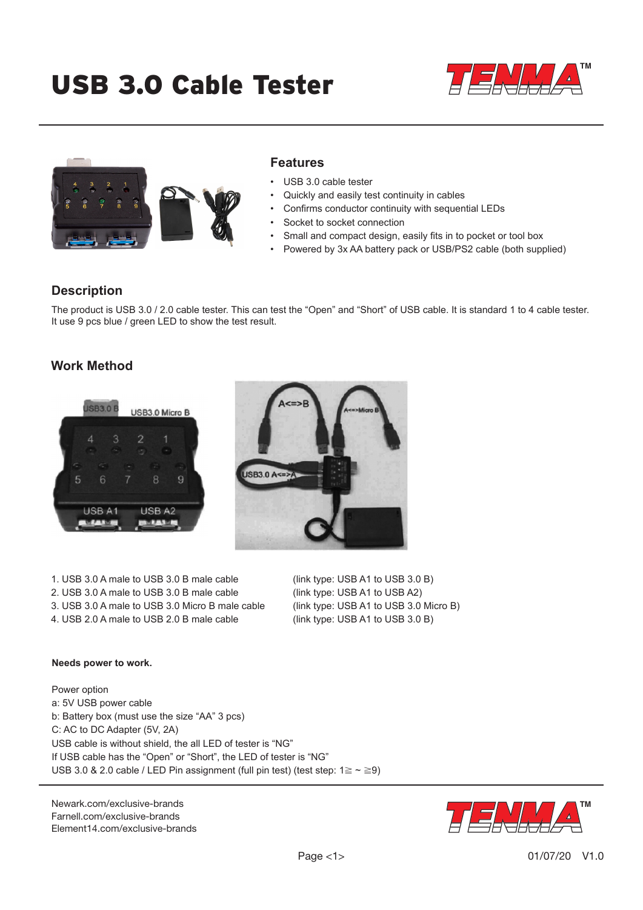# USB 3.0 Cable Tester





### **Features**

- USB 3.0 cable tester
- Quickly and easily test continuity in cables
- Confirms conductor continuity with sequential LEDs
- Socket to socket connection
- Small and compact design, easily fits in to pocket or tool box
- Powered by 3x AA battery pack or USB/PS2 cable (both supplied)

## **Description**

The product is USB 3.0 / 2.0 cable tester. This can test the "Open" and "Short" of USB cable. It is standard 1 to 4 cable tester. It use 9 pcs blue / green LED to show the test result.

# **Work Method**



1. USB 3.0 A male to USB 3.0 B male cable (link type: USB A1 to USB 3.0 B) 2. USB 3.0 A male to USB 3.0 B male cable (link type: USB A1 to USB A2) 3. USB 3.0 A male to USB 3.0 Micro B male cable (link type: USB A1 to USB 3.0 Micro B)

4. USB 2.0 A male to USB 2.0 B male cable (link type: USB A1 to USB 3.0 B)

#### **Needs power to work.**

Power option a: 5V USB power cable b: Battery box (must use the size "AA" 3 pcs) C: AC to DC Adapter (5V, 2A) USB cable is without shield, the all LED of tester is "NG" If USB cable has the "Open" or "Short", the LED of tester is "NG" USB 3.0 & 2.0 cable / LED Pin assignment (full pin test) (test step:  $1 \ge \sim \ge 9$ )

[Newark.com/exclusive-brands](https://www.newark.com/exclusive-brands) [Farnell.com/exclusive-brands](https://www.farnell.com/exclusive-brands) [Element14.com/exclusive-brands](https://element14.com/exclusive-brands)